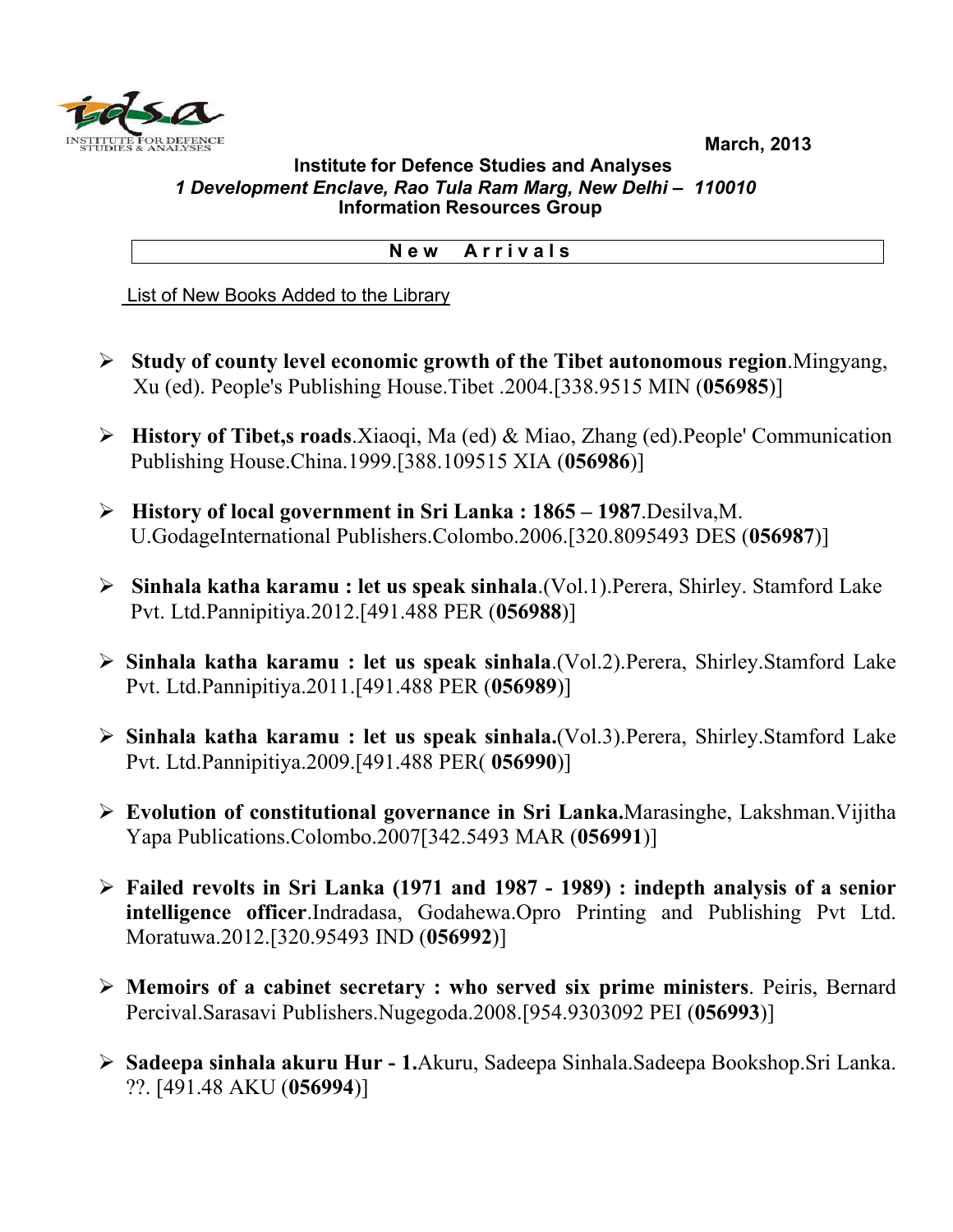**March, 2013**



## **Institute for Defence Studies and Analyses**  *1 Development Enclave, Rao Tula Ram Marg, New Delhi – 110010*   **Information Resources Group**

## **N e w A r r i v a l s**

List of New Books Added to the Library

- ¾ **Study of county level economic growth of the Tibet autonomous region**.Mingyang, Xu (ed). People's Publishing House.Tibet .2004.[338.9515 MIN (**056985**)]
- ¾ **History of Tibet,s roads**.Xiaoqi, Ma (ed) & Miao, Zhang (ed).People' Communication Publishing House.China.1999.[388.109515 XIA (**056986**)]
- ¾ **History of local government in Sri Lanka : 1865 1987**.Desilva,M. U.GodageInternational Publishers.Colombo.2006.[320.8095493 DES (**056987**)]
- ¾ **Sinhala katha karamu : let us speak sinhala**.(Vol.1).Perera, Shirley. Stamford Lake Pvt. Ltd.Pannipitiya.2012.[491.488 PER (**056988**)]
- ¾ **Sinhala katha karamu : let us speak sinhala**.(Vol.2).Perera, Shirley.Stamford Lake Pvt. Ltd.Pannipitiya.2011.[491.488 PER (**056989**)]
- ¾ **Sinhala katha karamu : let us speak sinhala.**(Vol.3).Perera, Shirley.Stamford Lake Pvt. Ltd.Pannipitiya.2009.[491.488 PER( **056990**)]
- ¾ **Evolution of constitutional governance in Sri Lanka.**Marasinghe, Lakshman.Vijitha Yapa Publications.Colombo.2007[342.5493 MAR (**056991**)]
- ¾ **Failed revolts in Sri Lanka (1971 and 1987 1989) : indepth analysis of a senior intelligence officer**.Indradasa, Godahewa.Opro Printing and Publishing Pvt Ltd. Moratuwa.2012.[320.95493 IND (**056992**)]
- ¾ **Memoirs of a cabinet secretary : who served six prime ministers**. Peiris, Bernard Percival.Sarasavi Publishers.Nugegoda.2008.[954.9303092 PEI (**056993**)]
- ¾ **Sadeepa sinhala akuru Hur 1.**Akuru, Sadeepa Sinhala.Sadeepa Bookshop.Sri Lanka. ??. [491.48 AKU (**056994**)]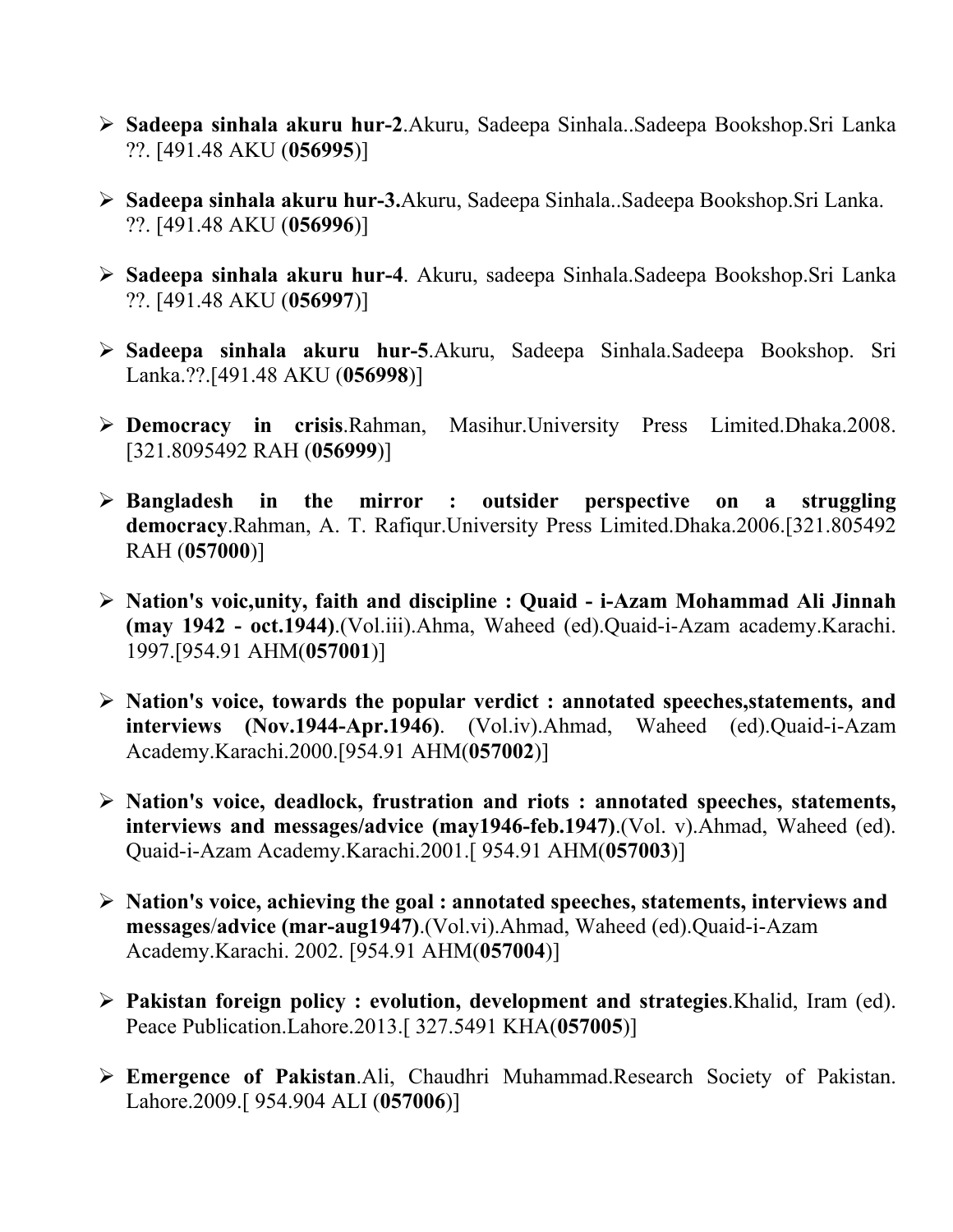- ¾ **Sadeepa sinhala akuru hur-2**.Akuru, Sadeepa Sinhala..Sadeepa Bookshop.Sri Lanka ??. [491.48 AKU (**056995**)]
- ¾ **Sadeepa sinhala akuru hur-3.**Akuru, Sadeepa Sinhala..Sadeepa Bookshop.Sri Lanka. ??. [491.48 AKU (**056996**)]
- ¾ **Sadeepa sinhala akuru hur-4**. Akuru, sadeepa Sinhala.Sadeepa Bookshop.Sri Lanka ??. [491.48 AKU (**056997**)]
- ¾ **Sadeepa sinhala akuru hur-5**.Akuru, Sadeepa Sinhala.Sadeepa Bookshop. Sri Lanka.??.[491.48 AKU (**056998**)]
- ¾ **Democracy in crisis**.Rahman, Masihur.University Press Limited.Dhaka.2008. [321.8095492 RAH (**056999**)]
- ¾ **Bangladesh in the mirror : outsider perspective on a struggling democracy**.Rahman, A. T. Rafiqur.University Press Limited.Dhaka.2006.[321.805492 RAH (**057000**)]
- ¾ **Nation's voic,unity, faith and discipline : Quaid i-Azam Mohammad Ali Jinnah (may 1942 - oct.1944)**.(Vol.iii).Ahma, Waheed (ed).Quaid-i-Azam academy.Karachi. 1997.[954.91 AHM(**057001**)]
- ¾ **Nation's voice, towards the popular verdict : annotated speeches,statements, and interviews (Nov.1944-Apr.1946)**. (Vol.iv).Ahmad, Waheed (ed).Quaid-i-Azam Academy.Karachi.2000.[954.91 AHM(**057002**)]
- ¾ **Nation's voice, deadlock, frustration and riots : annotated speeches, statements, interviews and messages/advice (may1946-feb.1947)**.(Vol. v).Ahmad, Waheed (ed). Quaid-i-Azam Academy.Karachi.2001.[ 954.91 AHM(**057003**)]
- ¾ **Nation's voice, achieving the goal : annotated speeches, statements, interviews and messages**/**advice (mar-aug1947)**.(Vol.vi).Ahmad, Waheed (ed).Quaid-i-Azam Academy.Karachi. 2002. [954.91 AHM(**057004**)]
- ¾ **Pakistan foreign policy : evolution, development and strategies**.Khalid, Iram (ed). Peace Publication.Lahore.2013.[ 327.5491 KHA(**057005**)]
- ¾ **Emergence of Pakistan**.Ali, Chaudhri Muhammad.Research Society of Pakistan. Lahore.2009.[ 954.904 ALI (**057006**)]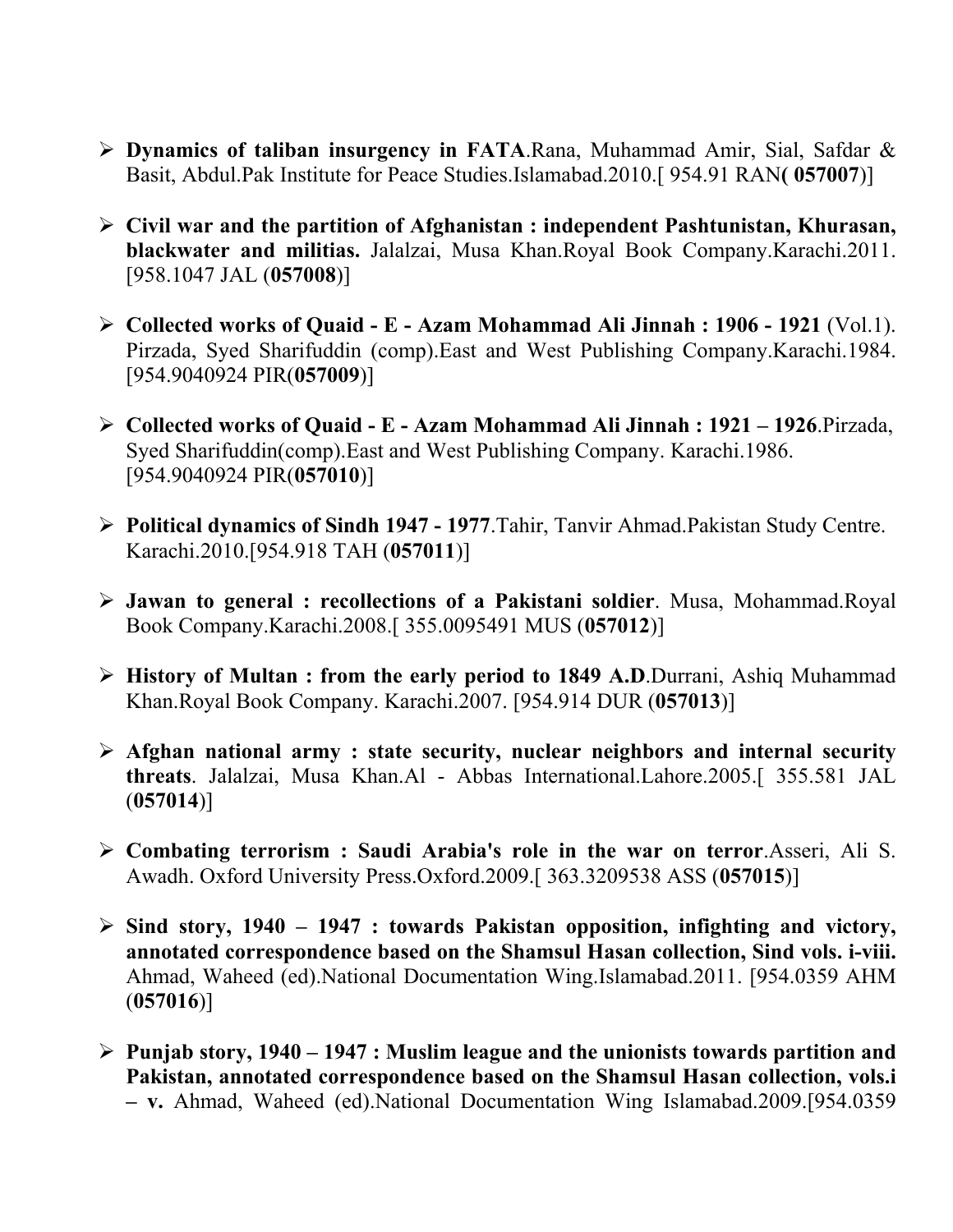- ¾ **Dynamics of taliban insurgency in FATA**.Rana, Muhammad Amir, Sial, Safdar & Basit, Abdul.Pak Institute for Peace Studies.Islamabad.2010.[ 954.91 RAN**( 057007**)]
- ¾ **Civil war and the partition of Afghanistan : independent Pashtunistan, Khurasan, blackwater and militias.** Jalalzai, Musa Khan.Royal Book Company.Karachi.2011. [958.1047 JAL (**057008**)]
- ¾ **Collected works of Quaid E Azam Mohammad Ali Jinnah : 1906 1921** (Vol.1). Pirzada, Syed Sharifuddin (comp).East and West Publishing Company.Karachi.1984. [954.9040924 PIR(**057009**)]
- ¾ **Collected works of Quaid E Azam Mohammad Ali Jinnah : 1921 1926**.Pirzada, Syed Sharifuddin(comp).East and West Publishing Company. Karachi.1986. [954.9040924 PIR(**057010**)]
- ¾ **Political dynamics of Sindh 1947 1977**.Tahir, Tanvir Ahmad.Pakistan Study Centre. Karachi.2010.[954.918 TAH (**057011**)]
- ¾ **Jawan to general : recollections of a Pakistani soldier**. Musa, Mohammad.Royal Book Company.Karachi.2008.[ 355.0095491 MUS (**057012**)]
- ¾ **History of Multan : from the early period to 1849 A.D**.Durrani, Ashiq Muhammad Khan.Royal Book Company. Karachi.2007. [954.914 DUR (**057013**)]
- ¾ **Afghan national army : state security, nuclear neighbors and internal security threats**. Jalalzai, Musa Khan.Al - Abbas International.Lahore.2005.[ 355.581 JAL (**057014**)]
- ¾ **Combating terrorism : Saudi Arabia's role in the war on terror**.Asseri, Ali S. Awadh. Oxford University Press.Oxford.2009.[ 363.3209538 ASS (**057015**)]
- ¾ **Sind story, 1940 1947 : towards Pakistan opposition, infighting and victory, annotated correspondence based on the Shamsul Hasan collection, Sind vols. i-viii.**  Ahmad, Waheed (ed).National Documentation Wing.Islamabad.2011. [954.0359 AHM (**057016**)]
- ¾ **Punjab story, 1940 1947 : Muslim league and the unionists towards partition and Pakistan, annotated correspondence based on the Shamsul Hasan collection, vols.i – v.** Ahmad, Waheed (ed).National Documentation Wing Islamabad.2009.[954.0359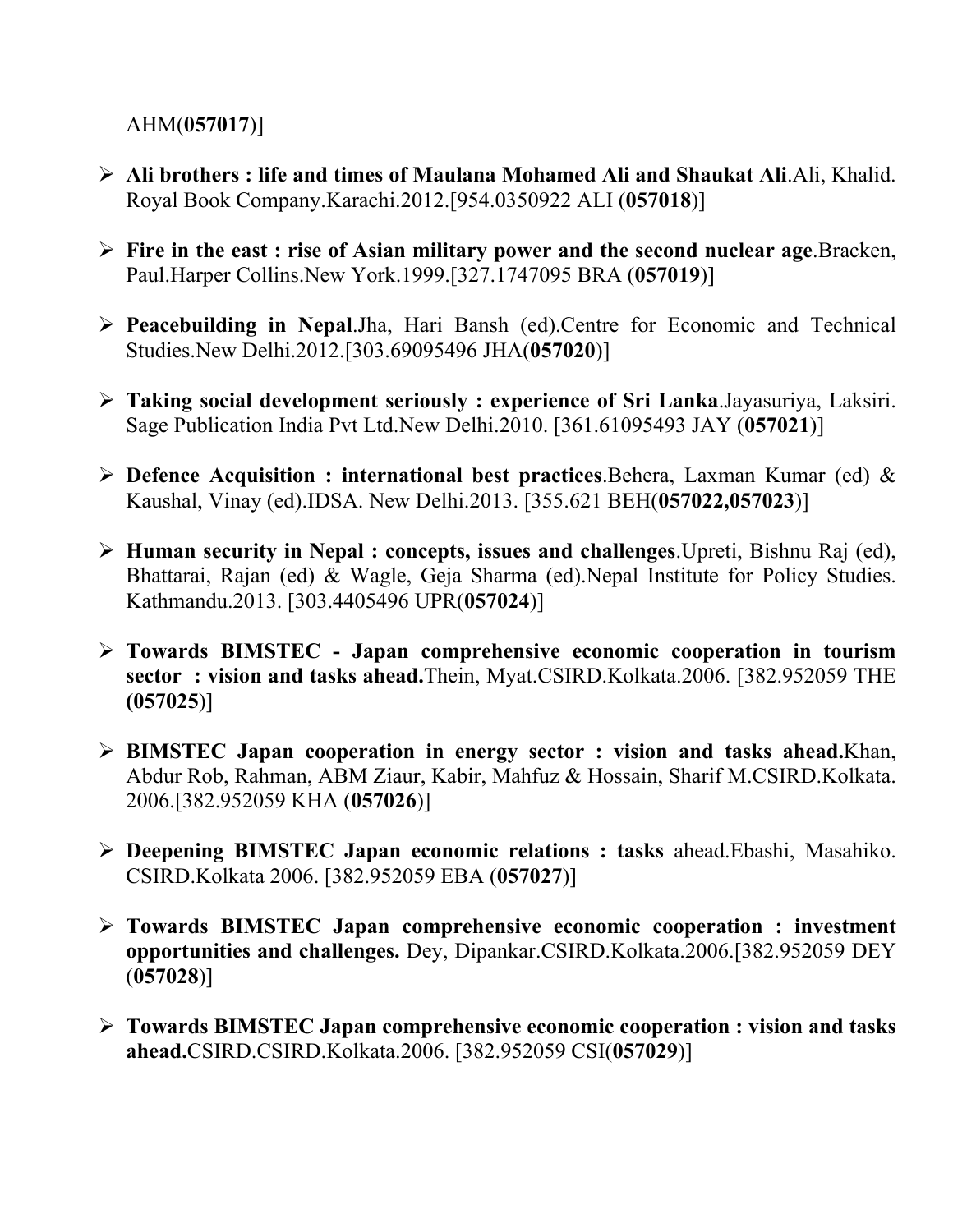AHM(**057017**)]

- ¾ **Ali brothers : life and times of Maulana Mohamed Ali and Shaukat Ali**.Ali, Khalid. Royal Book Company.Karachi.2012.[954.0350922 ALI (**057018**)]
- ¾ **Fire in the east : rise of Asian military power and the second nuclear age**.Bracken, Paul.Harper Collins.New York.1999.[327.1747095 BRA (**057019**)]
- ¾ **Peacebuilding in Nepal**.Jha, Hari Bansh (ed).Centre for Economic and Technical Studies.New Delhi.2012.[303.69095496 JHA(**057020**)]
- ¾ **Taking social development seriously : experience of Sri Lanka**.Jayasuriya, Laksiri. Sage Publication India Pvt Ltd.New Delhi.2010. [361.61095493 JAY (**057021**)]
- ¾ **Defence Acquisition : international best practices**.Behera, Laxman Kumar (ed) & Kaushal, Vinay (ed).IDSA. New Delhi.2013. [355.621 BEH(**057022,057023**)]
- ¾ **Human security in Nepal : concepts, issues and challenges**.Upreti, Bishnu Raj (ed), Bhattarai, Rajan (ed) & Wagle, Geja Sharma (ed).Nepal Institute for Policy Studies. Kathmandu.2013. [303.4405496 UPR(**057024**)]
- ¾ **Towards BIMSTEC Japan comprehensive economic cooperation in tourism sector : vision and tasks ahead.**Thein, Myat.CSIRD.Kolkata.2006. [382.952059 THE **(057025**)]
- ¾ **BIMSTEC Japan cooperation in energy sector : vision and tasks ahead.**Khan, Abdur Rob, Rahman, ABM Ziaur, Kabir, Mahfuz & Hossain, Sharif M.CSIRD.Kolkata. 2006.[382.952059 KHA (**057026**)]
- ¾ **Deepening BIMSTEC Japan economic relations : tasks** ahead.Ebashi, Masahiko. CSIRD.Kolkata 2006. [382.952059 EBA (**057027**)]
- ¾ **Towards BIMSTEC Japan comprehensive economic cooperation : investment opportunities and challenges.** Dey, Dipankar.CSIRD.Kolkata.2006.[382.952059 DEY (**057028**)]
- ¾ **Towards BIMSTEC Japan comprehensive economic cooperation : vision and tasks ahead.**CSIRD.CSIRD.Kolkata.2006. [382.952059 CSI(**057029**)]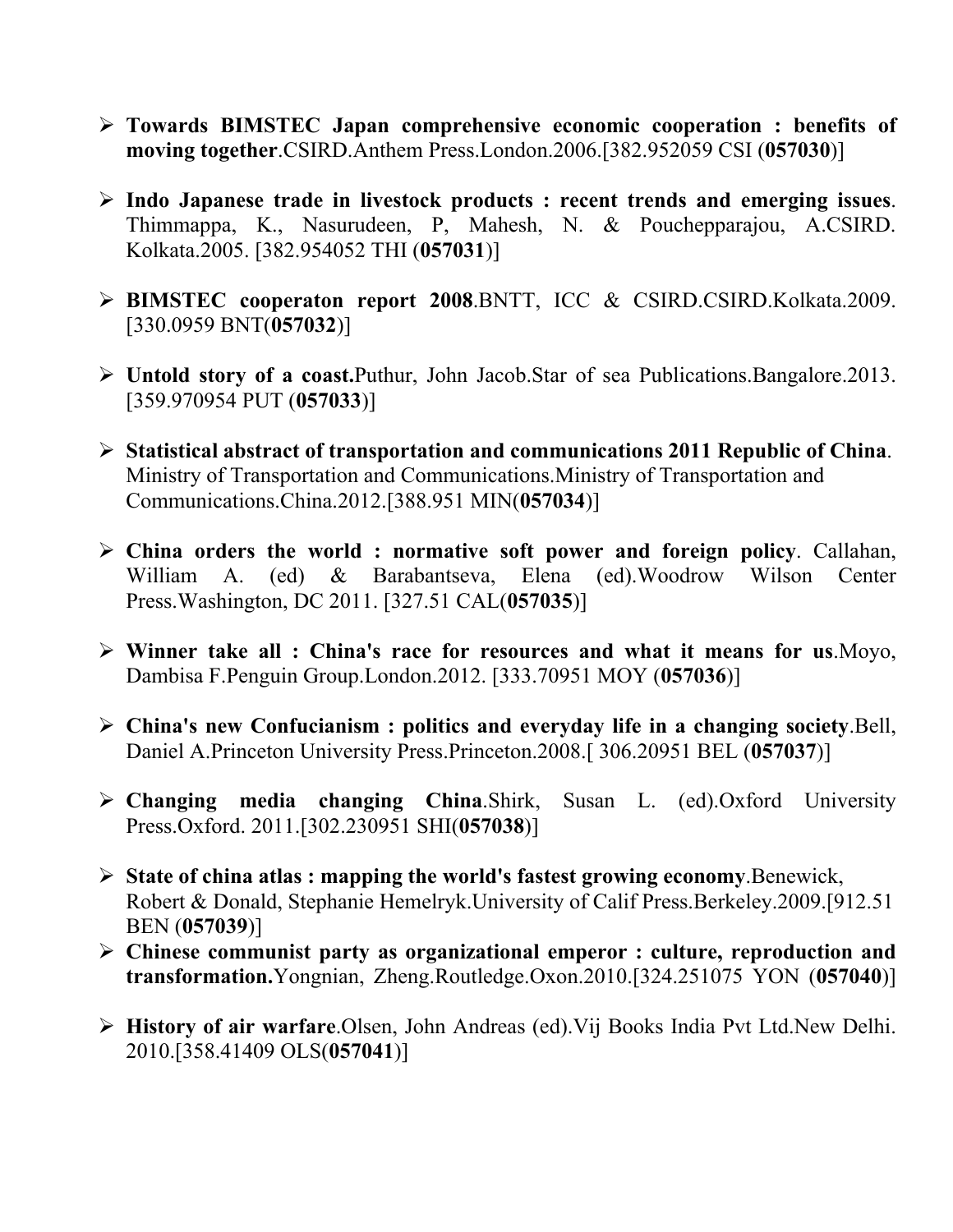- ¾ **Towards BIMSTEC Japan comprehensive economic cooperation : benefits of moving together**.CSIRD.Anthem Press.London.2006.[382.952059 CSI (**057030**)]
- ¾ **Indo Japanese trade in livestock products : recent trends and emerging issues**. Thimmappa, K., Nasurudeen, P, Mahesh, N. & Pouchepparajou, A.CSIRD. Kolkata.2005. [382.954052 THI (**057031**)]
- ¾ **BIMSTEC cooperaton report 2008**.BNTT, ICC & CSIRD.CSIRD.Kolkata.2009. [330.0959 BNT(**057032**)]
- ¾ **Untold story of a coast.**Puthur, John Jacob.Star of sea Publications.Bangalore.2013. [359.970954 PUT (**057033**)]
- ¾ **Statistical abstract of transportation and communications 2011 Republic of China**. Ministry of Transportation and Communications.Ministry of Transportation and Communications.China.2012.[388.951 MIN(**057034**)]
- ¾ **China orders the world : normative soft power and foreign policy**. Callahan, William A. (ed) & Barabantseva, Elena (ed).Woodrow Wilson Center Press.Washington, DC 2011. [327.51 CAL(**057035**)]
- ¾ **Winner take all : China's race for resources and what it means for us**.Moyo, Dambisa F.Penguin Group.London.2012. [333.70951 MOY (**057036**)]
- ¾ **China's new Confucianism : politics and everyday life in a changing society**.Bell, Daniel A.Princeton University Press.Princeton.2008.[ 306.20951 BEL (**057037**)]
- ¾ **Changing media changing China**.Shirk, Susan L. (ed).Oxford University Press.Oxford. 2011.[302.230951 SHI(**057038**)]
- ¾ **State of china atlas : mapping the world's fastest growing economy**.Benewick, Robert & Donald, Stephanie Hemelryk.University of Calif Press.Berkeley.2009.[912.51 BEN (**057039**)]
- ¾ **Chinese communist party as organizational emperor : culture, reproduction and transformation.**Yongnian, Zheng.Routledge.Oxon.2010.[324.251075 YON (**057040**)]
- ¾ **History of air warfare**.Olsen, John Andreas (ed).Vij Books India Pvt Ltd.New Delhi. 2010.[358.41409 OLS(**057041**)]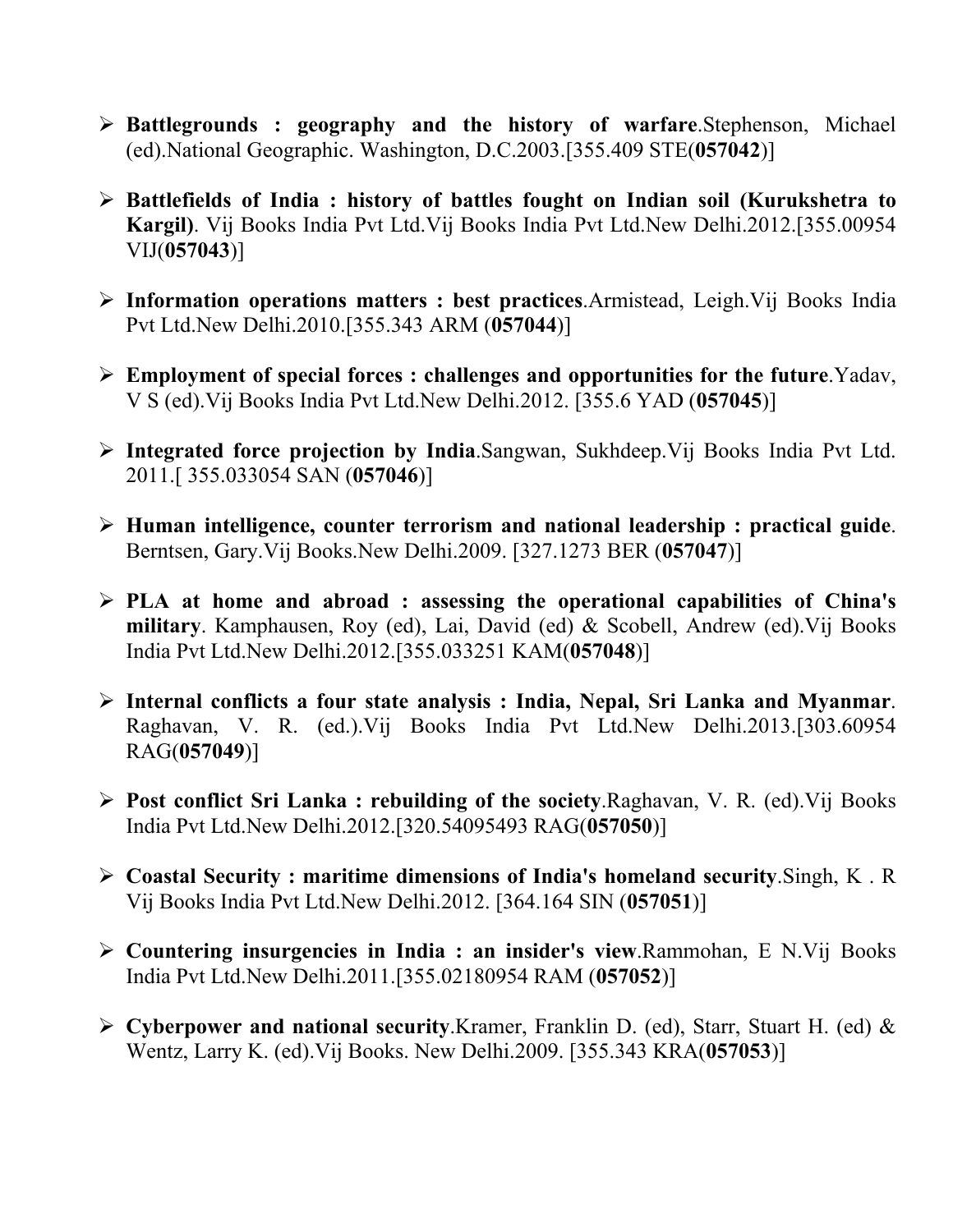- ¾ **Battlegrounds : geography and the history of warfare**.Stephenson, Michael (ed).National Geographic. Washington, D.C.2003.[355.409 STE(**057042**)]
- ¾ **Battlefields of India : history of battles fought on Indian soil (Kurukshetra to Kargil)**. Vij Books India Pvt Ltd.Vij Books India Pvt Ltd.New Delhi.2012.[355.00954 VIJ(**057043**)]
- ¾ **Information operations matters : best practices**.Armistead, Leigh.Vij Books India Pvt Ltd.New Delhi.2010.[355.343 ARM (**057044**)]
- ¾ **Employment of special forces : challenges and opportunities for the future**.Yadav, V S (ed).Vij Books India Pvt Ltd.New Delhi.2012. [355.6 YAD (**057045**)]
- ¾ **Integrated force projection by India**.Sangwan, Sukhdeep.Vij Books India Pvt Ltd. 2011.[ 355.033054 SAN (**057046**)]
- ¾ **Human intelligence, counter terrorism and national leadership : practical guide**. Berntsen, Gary.Vij Books.New Delhi.2009. [327.1273 BER (**057047**)]
- ¾ **PLA at home and abroad : assessing the operational capabilities of China's military**. Kamphausen, Roy (ed), Lai, David (ed) & Scobell, Andrew (ed).Vij Books India Pvt Ltd.New Delhi.2012.[355.033251 KAM(**057048**)]
- ¾ **Internal conflicts a four state analysis : India, Nepal, Sri Lanka and Myanmar**. Raghavan, V. R. (ed.).Vij Books India Pvt Ltd.New Delhi.2013.[303.60954 RAG(**057049**)]
- ¾ **Post conflict Sri Lanka : rebuilding of the society**.Raghavan, V. R. (ed).Vij Books India Pvt Ltd.New Delhi.2012.[320.54095493 RAG(**057050**)]
- ¾ **Coastal Security : maritime dimensions of India's homeland security**.Singh, K . R Vij Books India Pvt Ltd.New Delhi.2012. [364.164 SIN (**057051**)]
- ¾ **Countering insurgencies in India : an insider's view**.Rammohan, E N.Vij Books India Pvt Ltd.New Delhi.2011.[355.02180954 RAM (**057052**)]
- ¾ **Cyberpower and national security**.Kramer, Franklin D. (ed), Starr, Stuart H. (ed) & Wentz, Larry K. (ed).Vij Books. New Delhi.2009. [355.343 KRA(**057053**)]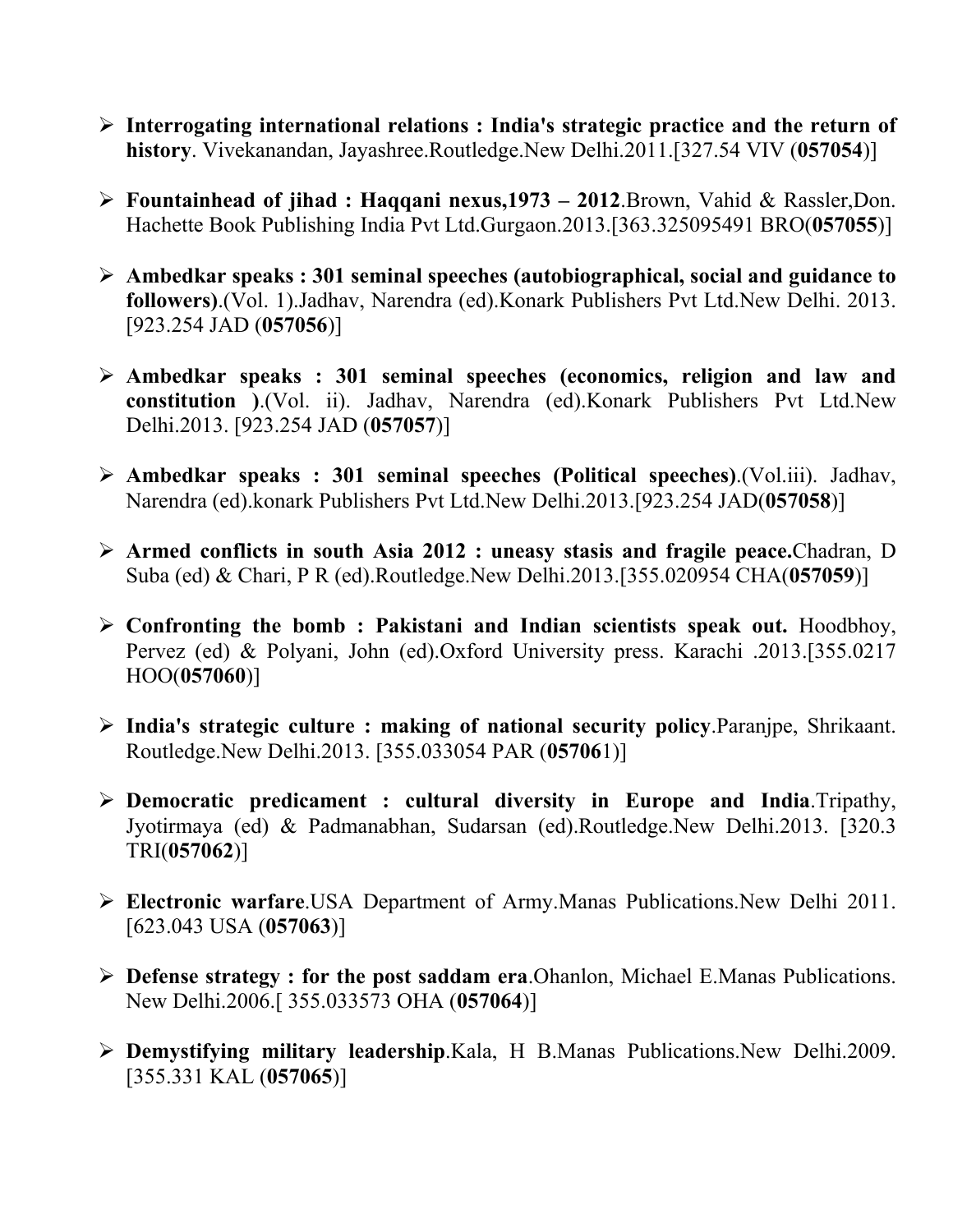- ¾ **Interrogating international relations : India's strategic practice and the return of history**. Vivekanandan, Jayashree.Routledge.New Delhi.2011.[327.54 VIV (**057054**)]
- ¾ **Fountainhead of jihad : Haqqani nexus,1973 2012**.Brown, Vahid & Rassler,Don. Hachette Book Publishing India Pvt Ltd.Gurgaon.2013.[363.325095491 BRO(**057055**)]
- ¾ **Ambedkar speaks : 301 seminal speeches (autobiographical, social and guidance to followers)**.(Vol. 1).Jadhav, Narendra (ed).Konark Publishers Pvt Ltd.New Delhi. 2013. [923.254 JAD (**057056**)]
- ¾ **Ambedkar speaks : 301 seminal speeches (economics, religion and law and constitution )**.(Vol. ii). Jadhav, Narendra (ed).Konark Publishers Pvt Ltd.New Delhi.2013. [923.254 JAD (**057057**)]
- ¾ **Ambedkar speaks : 301 seminal speeches (Political speeches)**.(Vol.iii). Jadhav, Narendra (ed).konark Publishers Pvt Ltd.New Delhi.2013.[923.254 JAD(**057058**)]
- ¾ **Armed conflicts in south Asia 2012 : uneasy stasis and fragile peace.**Chadran, D Suba (ed) & Chari, P R (ed).Routledge.New Delhi.2013.[355.020954 CHA(**057059**)]
- ¾ **Confronting the bomb : Pakistani and Indian scientists speak out.** Hoodbhoy, Pervez (ed) & Polyani, John (ed).Oxford University press. Karachi .2013.[355.0217 HOO(**057060**)]
- ¾ **India's strategic culture : making of national security policy**.Paranjpe, Shrikaant. Routledge.New Delhi.2013. [355.033054 PAR (**05706**1)]
- ¾ **Democratic predicament : cultural diversity in Europe and India**.Tripathy, Jyotirmaya (ed) & Padmanabhan, Sudarsan (ed).Routledge.New Delhi.2013. [320.3 TRI(**057062**)]
- ¾ **Electronic warfare**.USA Department of Army.Manas Publications.New Delhi 2011. [623.043 USA (**057063**)]
- ¾ **Defense strategy : for the post saddam era**.Ohanlon, Michael E.Manas Publications. New Delhi.2006.[ 355.033573 OHA (**057064**)]
- ¾ **Demystifying military leadership**.Kala, H B.Manas Publications.New Delhi.2009. [355.331 KAL (**057065**)]